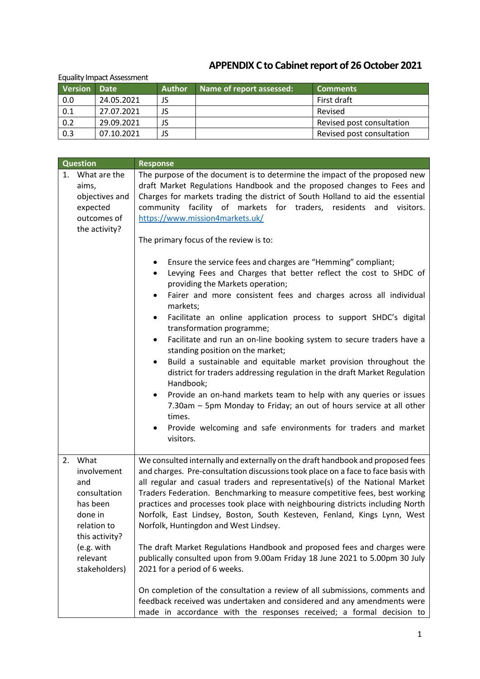## **APPENDIX C to Cabinet report of 26 October 2021**

## Equality Impact Assessment

| <b>Version</b> | Date <sup>1</sup> | <b>Author</b> | Name of report assessed: | ' Comments                |
|----------------|-------------------|---------------|--------------------------|---------------------------|
| 0.0            | 24.05.2021        | JS            |                          | First draft               |
| 0.1            | 27.07.2021        | JS            |                          | Revised                   |
| 0.2            | 29.09.2021        | JS            |                          | Revised post consultation |
| 0.3            | 07.10.2021        |               |                          | Revised post consultation |

| <b>Question</b>                                                                                                                                     | <b>Response</b>                                                                                                                                                                                                                                                                                                                                                                                                                                                                                                                                                                                                                                                                                                                                                                                                                                                                                                                                                       |
|-----------------------------------------------------------------------------------------------------------------------------------------------------|-----------------------------------------------------------------------------------------------------------------------------------------------------------------------------------------------------------------------------------------------------------------------------------------------------------------------------------------------------------------------------------------------------------------------------------------------------------------------------------------------------------------------------------------------------------------------------------------------------------------------------------------------------------------------------------------------------------------------------------------------------------------------------------------------------------------------------------------------------------------------------------------------------------------------------------------------------------------------|
| What are the<br>1.<br>aims,<br>objectives and<br>expected<br>outcomes of<br>the activity?                                                           | The purpose of the document is to determine the impact of the proposed new<br>draft Market Regulations Handbook and the proposed changes to Fees and<br>Charges for markets trading the district of South Holland to aid the essential<br>community facility of markets for traders, residents and<br>visitors.<br>https://www.mission4markets.uk/<br>The primary focus of the review is to:                                                                                                                                                                                                                                                                                                                                                                                                                                                                                                                                                                          |
|                                                                                                                                                     | Ensure the service fees and charges are "Hemming" compliant;<br>٠<br>Levying Fees and Charges that better reflect the cost to SHDC of<br>$\bullet$<br>providing the Markets operation;<br>Fairer and more consistent fees and charges across all individual<br>$\bullet$<br>markets;<br>Facilitate an online application process to support SHDC's digital<br>$\bullet$<br>transformation programme;<br>Facilitate and run an on-line booking system to secure traders have a<br>$\bullet$<br>standing position on the market;<br>Build a sustainable and equitable market provision throughout the<br>$\bullet$<br>district for traders addressing regulation in the draft Market Regulation<br>Handbook;<br>Provide an on-hand markets team to help with any queries or issues<br>$\bullet$<br>7.30am - 5pm Monday to Friday; an out of hours service at all other<br>times.<br>Provide welcoming and safe environments for traders and market<br>visitors.         |
| 2.<br>What<br>involvement<br>and<br>consultation<br>has been<br>done in<br>relation to<br>this activity?<br>(e.g. with<br>relevant<br>stakeholders) | We consulted internally and externally on the draft handbook and proposed fees<br>and charges. Pre-consultation discussions took place on a face to face basis with<br>all regular and casual traders and representative(s) of the National Market<br>Traders Federation. Benchmarking to measure competitive fees, best working<br>practices and processes took place with neighbouring districts including North<br>Norfolk, East Lindsey, Boston, South Kesteven, Fenland, Kings Lynn, West<br>Norfolk, Huntingdon and West Lindsey.<br>The draft Market Regulations Handbook and proposed fees and charges were<br>publically consulted upon from 9.00am Friday 18 June 2021 to 5.00pm 30 July<br>2021 for a period of 6 weeks.<br>On completion of the consultation a review of all submissions, comments and<br>feedback received was undertaken and considered and any amendments were<br>made in accordance with the responses received; a formal decision to |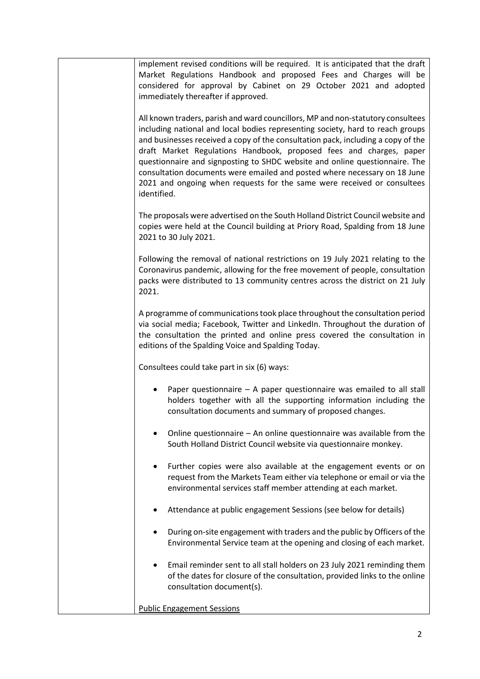| implement revised conditions will be required. It is anticipated that the draft<br>Market Regulations Handbook and proposed Fees and Charges will be<br>considered for approval by Cabinet on 29 October 2021 and adopted<br>immediately thereafter if approved.                                                                                                                                                                                                                                                                                                                   |
|------------------------------------------------------------------------------------------------------------------------------------------------------------------------------------------------------------------------------------------------------------------------------------------------------------------------------------------------------------------------------------------------------------------------------------------------------------------------------------------------------------------------------------------------------------------------------------|
| All known traders, parish and ward councillors, MP and non-statutory consultees<br>including national and local bodies representing society, hard to reach groups<br>and businesses received a copy of the consultation pack, including a copy of the<br>draft Market Regulations Handbook, proposed fees and charges, paper<br>questionnaire and signposting to SHDC website and online questionnaire. The<br>consultation documents were emailed and posted where necessary on 18 June<br>2021 and ongoing when requests for the same were received or consultees<br>identified. |
| The proposals were advertised on the South Holland District Council website and<br>copies were held at the Council building at Priory Road, Spalding from 18 June<br>2021 to 30 July 2021.                                                                                                                                                                                                                                                                                                                                                                                         |
| Following the removal of national restrictions on 19 July 2021 relating to the<br>Coronavirus pandemic, allowing for the free movement of people, consultation<br>packs were distributed to 13 community centres across the district on 21 July<br>2021.                                                                                                                                                                                                                                                                                                                           |
| A programme of communications took place throughout the consultation period<br>via social media; Facebook, Twitter and LinkedIn. Throughout the duration of<br>the consultation the printed and online press covered the consultation in<br>editions of the Spalding Voice and Spalding Today.                                                                                                                                                                                                                                                                                     |
| Consultees could take part in six (6) ways:                                                                                                                                                                                                                                                                                                                                                                                                                                                                                                                                        |
| Paper questionnaire $-$ A paper questionnaire was emailed to all stall<br>holders together with all the supporting information including the<br>consultation documents and summary of proposed changes.                                                                                                                                                                                                                                                                                                                                                                            |
| Online questionnaire $-$ An online questionnaire was available from the<br>South Holland District Council website via questionnaire monkey.                                                                                                                                                                                                                                                                                                                                                                                                                                        |
| Further copies were also available at the engagement events or on<br>request from the Markets Team either via telephone or email or via the<br>environmental services staff member attending at each market.                                                                                                                                                                                                                                                                                                                                                                       |
| Attendance at public engagement Sessions (see below for details)                                                                                                                                                                                                                                                                                                                                                                                                                                                                                                                   |
| During on-site engagement with traders and the public by Officers of the<br>Environmental Service team at the opening and closing of each market.                                                                                                                                                                                                                                                                                                                                                                                                                                  |
| Email reminder sent to all stall holders on 23 July 2021 reminding them<br>of the dates for closure of the consultation, provided links to the online<br>consultation document(s).                                                                                                                                                                                                                                                                                                                                                                                                 |
| <b>Public Engagement Sessions</b>                                                                                                                                                                                                                                                                                                                                                                                                                                                                                                                                                  |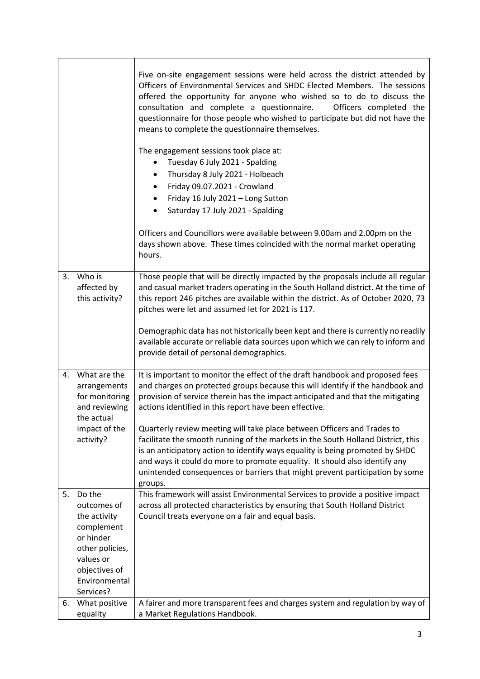|    |                                                                                                                                                 | Five on-site engagement sessions were held across the district attended by<br>Officers of Environmental Services and SHDC Elected Members. The sessions<br>offered the opportunity for anyone who wished so to do to discuss the<br>consultation and complete a questionnaire.<br>Officers completed the<br>questionnaire for those people who wished to participate but did not have the<br>means to complete the questionnaire themselves.<br>The engagement sessions took place at:<br>Tuesday 6 July 2021 - Spalding<br>$\bullet$<br>Thursday 8 July 2021 - Holbeach<br>$\bullet$<br>Friday 09.07.2021 - Crowland<br>$\bullet$<br>Friday 16 July 2021 - Long Sutton<br>$\bullet$<br>Saturday 17 July 2021 - Spalding<br>$\bullet$ |
|----|-------------------------------------------------------------------------------------------------------------------------------------------------|---------------------------------------------------------------------------------------------------------------------------------------------------------------------------------------------------------------------------------------------------------------------------------------------------------------------------------------------------------------------------------------------------------------------------------------------------------------------------------------------------------------------------------------------------------------------------------------------------------------------------------------------------------------------------------------------------------------------------------------|
|    |                                                                                                                                                 | Officers and Councillors were available between 9.00am and 2.00pm on the<br>days shown above. These times coincided with the normal market operating<br>hours.                                                                                                                                                                                                                                                                                                                                                                                                                                                                                                                                                                        |
| 3. | Who is<br>affected by<br>this activity?                                                                                                         | Those people that will be directly impacted by the proposals include all regular<br>and casual market traders operating in the South Holland district. At the time of<br>this report 246 pitches are available within the district. As of October 2020, 73<br>pitches were let and assumed let for 2021 is 117.<br>Demographic data has not historically been kept and there is currently no readily<br>available accurate or reliable data sources upon which we can rely to inform and                                                                                                                                                                                                                                              |
| 4. | What are the<br>arrangements<br>for monitoring<br>and reviewing<br>the actual<br>impact of the<br>activity?                                     | provide detail of personal demographics.<br>It is important to monitor the effect of the draft handbook and proposed fees<br>and charges on protected groups because this will identify if the handbook and<br>provision of service therein has the impact anticipated and that the mitigating<br>actions identified in this report have been effective.<br>Quarterly review meeting will take place between Officers and Trades to<br>facilitate the smooth running of the markets in the South Holland District, this                                                                                                                                                                                                               |
|    |                                                                                                                                                 | is an anticipatory action to identify ways equality is being promoted by SHDC<br>and ways it could do more to promote equality. It should also identify any<br>unintended consequences or barriers that might prevent participation by some<br>groups.                                                                                                                                                                                                                                                                                                                                                                                                                                                                                |
| 5. | Do the<br>outcomes of<br>the activity<br>complement<br>or hinder<br>other policies,<br>values or<br>objectives of<br>Environmental<br>Services? | This framework will assist Environmental Services to provide a positive impact<br>across all protected characteristics by ensuring that South Holland District<br>Council treats everyone on a fair and equal basis.                                                                                                                                                                                                                                                                                                                                                                                                                                                                                                                  |
| 6. | What positive<br>equality                                                                                                                       | A fairer and more transparent fees and charges system and regulation by way of<br>a Market Regulations Handbook.                                                                                                                                                                                                                                                                                                                                                                                                                                                                                                                                                                                                                      |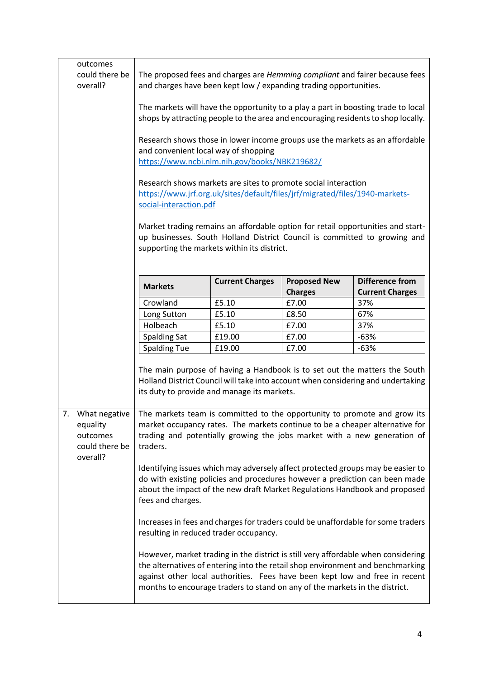| outcomes<br>could there be                                 |                                                                                                                                                                                                                                                                                                                                   |                                                                                       |                     | The proposed fees and charges are Hemming compliant and fairer because fees                                                                                   |
|------------------------------------------------------------|-----------------------------------------------------------------------------------------------------------------------------------------------------------------------------------------------------------------------------------------------------------------------------------------------------------------------------------|---------------------------------------------------------------------------------------|---------------------|---------------------------------------------------------------------------------------------------------------------------------------------------------------|
| overall?                                                   | and charges have been kept low / expanding trading opportunities.                                                                                                                                                                                                                                                                 |                                                                                       |                     |                                                                                                                                                               |
|                                                            | The markets will have the opportunity to a play a part in boosting trade to local<br>shops by attracting people to the area and encouraging residents to shop locally.                                                                                                                                                            |                                                                                       |                     |                                                                                                                                                               |
|                                                            |                                                                                                                                                                                                                                                                                                                                   | and convenient local way of shopping<br>https://www.ncbi.nlm.nih.gov/books/NBK219682/ |                     | Research shows those in lower income groups use the markets as an affordable                                                                                  |
|                                                            | Research shows markets are sites to promote social interaction<br>https://www.jrf.org.uk/sites/default/files/jrf/migrated/files/1940-markets-<br>social-interaction.pdf                                                                                                                                                           |                                                                                       |                     |                                                                                                                                                               |
|                                                            |                                                                                                                                                                                                                                                                                                                                   | supporting the markets within its district.                                           |                     | Market trading remains an affordable option for retail opportunities and start-<br>up businesses. South Holland District Council is committed to growing and  |
|                                                            |                                                                                                                                                                                                                                                                                                                                   | <b>Current Charges</b>                                                                | <b>Proposed New</b> | Difference from                                                                                                                                               |
|                                                            | <b>Markets</b>                                                                                                                                                                                                                                                                                                                    |                                                                                       | <b>Charges</b>      | <b>Current Charges</b>                                                                                                                                        |
|                                                            | Crowland                                                                                                                                                                                                                                                                                                                          | £5.10                                                                                 | £7.00               | 37%                                                                                                                                                           |
|                                                            | Long Sutton                                                                                                                                                                                                                                                                                                                       | £5.10                                                                                 | £8.50               | 67%                                                                                                                                                           |
|                                                            | Holbeach                                                                                                                                                                                                                                                                                                                          | £5.10                                                                                 | £7.00               | 37%                                                                                                                                                           |
|                                                            | <b>Spalding Sat</b>                                                                                                                                                                                                                                                                                                               | £19.00                                                                                | £7.00               | $-63%$                                                                                                                                                        |
|                                                            | <b>Spalding Tue</b>                                                                                                                                                                                                                                                                                                               | £19.00                                                                                | £7.00               | $-63%$                                                                                                                                                        |
|                                                            |                                                                                                                                                                                                                                                                                                                                   | its duty to provide and manage its markets.                                           |                     | The main purpose of having a Handbook is to set out the matters the South<br>Holland District Council will take into account when considering and undertaking |
| 7. What negative<br>equality<br>outcomes<br>could there be | The markets team is committed to the opportunity to promote and grow its<br>market occupancy rates. The markets continue to be a cheaper alternative for<br>trading and potentially growing the jobs market with a new generation of<br>traders.                                                                                  |                                                                                       |                     |                                                                                                                                                               |
| overall?                                                   | Identifying issues which may adversely affect protected groups may be easier to<br>do with existing policies and procedures however a prediction can been made<br>about the impact of the new draft Market Regulations Handbook and proposed<br>fees and charges.                                                                 |                                                                                       |                     |                                                                                                                                                               |
|                                                            | Increases in fees and charges for traders could be unaffordable for some traders<br>resulting in reduced trader occupancy.                                                                                                                                                                                                        |                                                                                       |                     |                                                                                                                                                               |
|                                                            | However, market trading in the district is still very affordable when considering<br>the alternatives of entering into the retail shop environment and benchmarking<br>against other local authorities. Fees have been kept low and free in recent<br>months to encourage traders to stand on any of the markets in the district. |                                                                                       |                     |                                                                                                                                                               |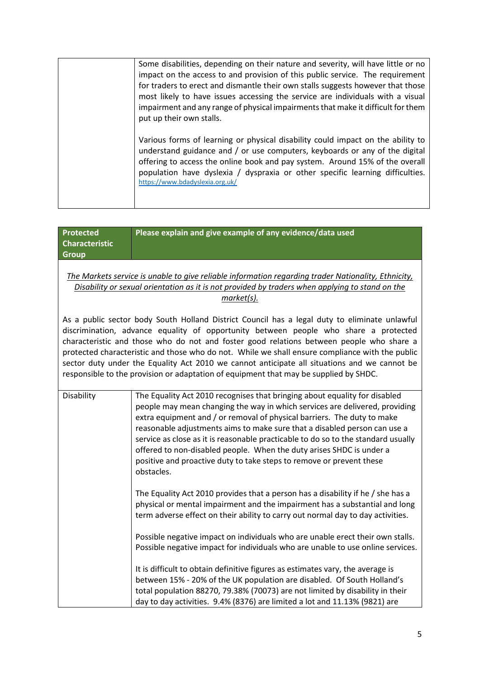| Some disabilities, depending on their nature and severity, will have little or no                                                                                                                                                              |
|------------------------------------------------------------------------------------------------------------------------------------------------------------------------------------------------------------------------------------------------|
| impact on the access to and provision of this public service. The requirement                                                                                                                                                                  |
| for traders to erect and dismantle their own stalls suggests however that those                                                                                                                                                                |
| most likely to have issues accessing the service are individuals with a visual                                                                                                                                                                 |
| impairment and any range of physical impairments that make it difficult for them                                                                                                                                                               |
| put up their own stalls.                                                                                                                                                                                                                       |
|                                                                                                                                                                                                                                                |
| Various forms of learning or physical disability could impact on the ability to<br>understand guidance and / or use computers, keyboards or any of the digital<br>offering to access the online book and pay system. Around 15% of the overall |
| population have dyslexia / dyspraxia or other specific learning difficulties.<br>https://www.bdadyslexia.org.uk/                                                                                                                               |
|                                                                                                                                                                                                                                                |

| <b>Protected</b>      | Please explain and give example of any evidence/data used                                                                                                                                                                                                                                                                                                                                                                                                                                                                                                                     |
|-----------------------|-------------------------------------------------------------------------------------------------------------------------------------------------------------------------------------------------------------------------------------------------------------------------------------------------------------------------------------------------------------------------------------------------------------------------------------------------------------------------------------------------------------------------------------------------------------------------------|
| <b>Characteristic</b> |                                                                                                                                                                                                                                                                                                                                                                                                                                                                                                                                                                               |
| <b>Group</b>          |                                                                                                                                                                                                                                                                                                                                                                                                                                                                                                                                                                               |
|                       | The Markets service is unable to give reliable information regarding trader Nationality, Ethnicity,<br>Disability or sexual orientation as it is not provided by traders when applying to stand on the<br>market(s).                                                                                                                                                                                                                                                                                                                                                          |
|                       |                                                                                                                                                                                                                                                                                                                                                                                                                                                                                                                                                                               |
|                       | As a public sector body South Holland District Council has a legal duty to eliminate unlawful<br>discrimination, advance equality of opportunity between people who share a protected<br>characteristic and those who do not and foster good relations between people who share a<br>protected characteristic and those who do not. While we shall ensure compliance with the public<br>sector duty under the Equality Act 2010 we cannot anticipate all situations and we cannot be<br>responsible to the provision or adaptation of equipment that may be supplied by SHDC. |
| Disability            | The Equality Act 2010 recognises that bringing about equality for disabled<br>people may mean changing the way in which services are delivered, providing<br>extra equipment and / or removal of physical barriers. The duty to make<br>reasonable adjustments aims to make sure that a disabled person can use a<br>service as close as it is reasonable practicable to do so to the standard usually<br>offered to non-disabled people. When the duty arises SHDC is under a<br>positive and proactive duty to take steps to remove or prevent these<br>obstacles.          |
|                       | The Equality Act 2010 provides that a person has a disability if he / she has a<br>physical or mental impairment and the impairment has a substantial and long<br>term adverse effect on their ability to carry out normal day to day activities.                                                                                                                                                                                                                                                                                                                             |
|                       | Possible negative impact on individuals who are unable erect their own stalls.<br>Possible negative impact for individuals who are unable to use online services.                                                                                                                                                                                                                                                                                                                                                                                                             |
|                       | It is difficult to obtain definitive figures as estimates vary, the average is<br>between 15% - 20% of the UK population are disabled. Of South Holland's<br>total population 88270, 79.38% (70073) are not limited by disability in their<br>day to day activities. 9.4% (8376) are limited a lot and 11.13% (9821) are                                                                                                                                                                                                                                                      |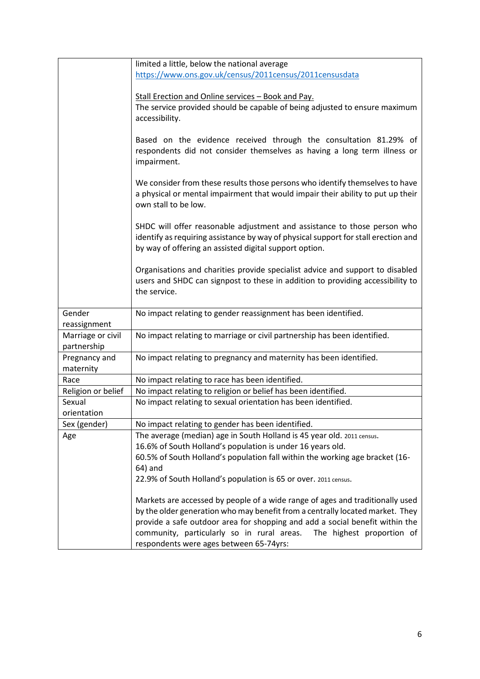|                    | limited a little, below the national average                                                                                                                   |
|--------------------|----------------------------------------------------------------------------------------------------------------------------------------------------------------|
|                    | https://www.ons.gov.uk/census/2011census/2011censusdata                                                                                                        |
|                    |                                                                                                                                                                |
|                    | Stall Erection and Online services - Book and Pay.                                                                                                             |
|                    | The service provided should be capable of being adjusted to ensure maximum                                                                                     |
|                    | accessibility.                                                                                                                                                 |
|                    |                                                                                                                                                                |
|                    | Based on the evidence received through the consultation 81.29% of                                                                                              |
|                    | respondents did not consider themselves as having a long term illness or                                                                                       |
|                    | impairment.                                                                                                                                                    |
|                    |                                                                                                                                                                |
|                    | We consider from these results those persons who identify themselves to have                                                                                   |
|                    | a physical or mental impairment that would impair their ability to put up their                                                                                |
|                    | own stall to be low.                                                                                                                                           |
|                    |                                                                                                                                                                |
|                    | SHDC will offer reasonable adjustment and assistance to those person who<br>identify as requiring assistance by way of physical support for stall erection and |
|                    | by way of offering an assisted digital support option.                                                                                                         |
|                    |                                                                                                                                                                |
|                    | Organisations and charities provide specialist advice and support to disabled                                                                                  |
|                    | users and SHDC can signpost to these in addition to providing accessibility to                                                                                 |
|                    | the service.                                                                                                                                                   |
|                    |                                                                                                                                                                |
| Gender             | No impact relating to gender reassignment has been identified.                                                                                                 |
| reassignment       |                                                                                                                                                                |
| Marriage or civil  | No impact relating to marriage or civil partnership has been identified.                                                                                       |
| partnership        |                                                                                                                                                                |
| Pregnancy and      | No impact relating to pregnancy and maternity has been identified.                                                                                             |
| maternity          |                                                                                                                                                                |
| Race               | No impact relating to race has been identified.                                                                                                                |
| Religion or belief | No impact relating to religion or belief has been identified.                                                                                                  |
| Sexual             | No impact relating to sexual orientation has been identified.                                                                                                  |
| orientation        |                                                                                                                                                                |
| Sex (gender)       | No impact relating to gender has been identified.                                                                                                              |
| Age                | The average (median) age in South Holland is 45 year old. 2011 census.                                                                                         |
|                    | 16.6% of South Holland's population is under 16 years old.                                                                                                     |
|                    | 60.5% of South Holland's population fall within the working age bracket (16-                                                                                   |
|                    | 64) and                                                                                                                                                        |
|                    | 22.9% of South Holland's population is 65 or over. 2011 census.                                                                                                |
|                    | Markets are accessed by people of a wide range of ages and traditionally used                                                                                  |
|                    | by the older generation who may benefit from a centrally located market. They                                                                                  |
|                    | provide a safe outdoor area for shopping and add a social benefit within the                                                                                   |
|                    | community, particularly so in rural areas.<br>The highest proportion of                                                                                        |
|                    | respondents were ages between 65-74yrs:                                                                                                                        |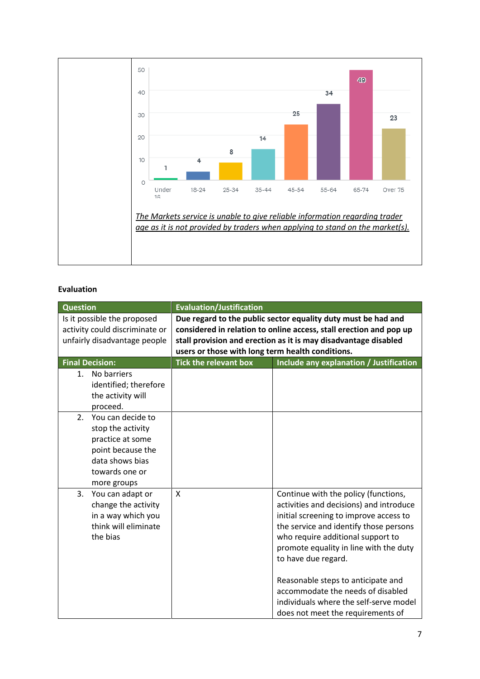

## **Evaluation**

| <b>Question</b>                                                                                                                                       | <b>Evaluation/Justification</b>                                                                                                                                                                                                                            |                                                                                                                                                                                                                                                                                                                                                                                                                                     |
|-------------------------------------------------------------------------------------------------------------------------------------------------------|------------------------------------------------------------------------------------------------------------------------------------------------------------------------------------------------------------------------------------------------------------|-------------------------------------------------------------------------------------------------------------------------------------------------------------------------------------------------------------------------------------------------------------------------------------------------------------------------------------------------------------------------------------------------------------------------------------|
| Is it possible the proposed<br>activity could discriminate or<br>unfairly disadvantage people                                                         | Due regard to the public sector equality duty must be had and<br>considered in relation to online access, stall erection and pop up<br>stall provision and erection as it is may disadvantage disabled<br>users or those with long term health conditions. |                                                                                                                                                                                                                                                                                                                                                                                                                                     |
| <b>Final Decision:</b>                                                                                                                                | <b>Tick the relevant box</b>                                                                                                                                                                                                                               | Include any explanation / Justification                                                                                                                                                                                                                                                                                                                                                                                             |
| No barriers<br>$1_{-}$<br>identified; therefore<br>the activity will<br>proceed.                                                                      |                                                                                                                                                                                                                                                            |                                                                                                                                                                                                                                                                                                                                                                                                                                     |
| You can decide to<br>2 <sub>1</sub><br>stop the activity<br>practice at some<br>point because the<br>data shows bias<br>towards one or<br>more groups |                                                                                                                                                                                                                                                            |                                                                                                                                                                                                                                                                                                                                                                                                                                     |
| You can adapt or<br>3.<br>change the activity<br>in a way which you<br>think will eliminate<br>the bias                                               | X                                                                                                                                                                                                                                                          | Continue with the policy (functions,<br>activities and decisions) and introduce<br>initial screening to improve access to<br>the service and identify those persons<br>who require additional support to<br>promote equality in line with the duty<br>to have due regard.<br>Reasonable steps to anticipate and<br>accommodate the needs of disabled<br>individuals where the self-serve model<br>does not meet the requirements of |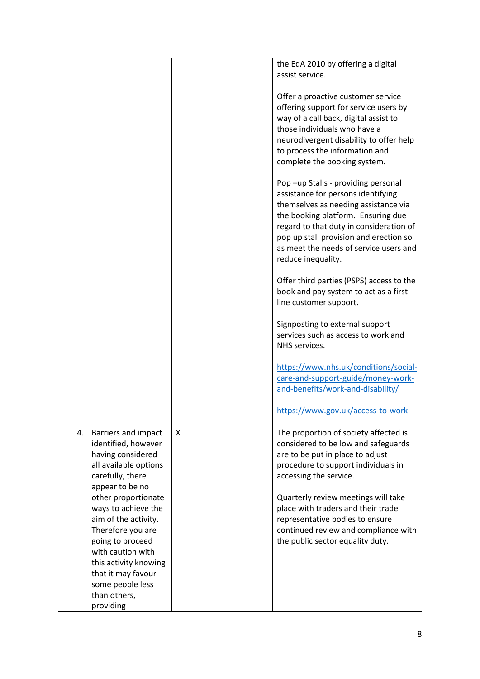| the EqA 2010 by offering a digital<br>assist service.<br>Offer a proactive customer service<br>offering support for service users by<br>way of a call back, digital assist to<br>those individuals who have a<br>neurodivergent disability to offer help<br>to process the information and<br>complete the booking system.<br>Pop-up Stalls - providing personal<br>assistance for persons identifying<br>themselves as needing assistance via<br>the booking platform. Ensuring due<br>regard to that duty in consideration of<br>pop up stall provision and erection so<br>as meet the needs of service users and<br>reduce inequality.<br>Offer third parties (PSPS) access to the<br>book and pay system to act as a first |  |
|--------------------------------------------------------------------------------------------------------------------------------------------------------------------------------------------------------------------------------------------------------------------------------------------------------------------------------------------------------------------------------------------------------------------------------------------------------------------------------------------------------------------------------------------------------------------------------------------------------------------------------------------------------------------------------------------------------------------------------|--|
|                                                                                                                                                                                                                                                                                                                                                                                                                                                                                                                                                                                                                                                                                                                                |  |
|                                                                                                                                                                                                                                                                                                                                                                                                                                                                                                                                                                                                                                                                                                                                |  |
|                                                                                                                                                                                                                                                                                                                                                                                                                                                                                                                                                                                                                                                                                                                                |  |
|                                                                                                                                                                                                                                                                                                                                                                                                                                                                                                                                                                                                                                                                                                                                |  |
|                                                                                                                                                                                                                                                                                                                                                                                                                                                                                                                                                                                                                                                                                                                                |  |
|                                                                                                                                                                                                                                                                                                                                                                                                                                                                                                                                                                                                                                                                                                                                |  |
|                                                                                                                                                                                                                                                                                                                                                                                                                                                                                                                                                                                                                                                                                                                                |  |
|                                                                                                                                                                                                                                                                                                                                                                                                                                                                                                                                                                                                                                                                                                                                |  |
|                                                                                                                                                                                                                                                                                                                                                                                                                                                                                                                                                                                                                                                                                                                                |  |
|                                                                                                                                                                                                                                                                                                                                                                                                                                                                                                                                                                                                                                                                                                                                |  |
|                                                                                                                                                                                                                                                                                                                                                                                                                                                                                                                                                                                                                                                                                                                                |  |
|                                                                                                                                                                                                                                                                                                                                                                                                                                                                                                                                                                                                                                                                                                                                |  |
|                                                                                                                                                                                                                                                                                                                                                                                                                                                                                                                                                                                                                                                                                                                                |  |
|                                                                                                                                                                                                                                                                                                                                                                                                                                                                                                                                                                                                                                                                                                                                |  |
|                                                                                                                                                                                                                                                                                                                                                                                                                                                                                                                                                                                                                                                                                                                                |  |
|                                                                                                                                                                                                                                                                                                                                                                                                                                                                                                                                                                                                                                                                                                                                |  |
|                                                                                                                                                                                                                                                                                                                                                                                                                                                                                                                                                                                                                                                                                                                                |  |
|                                                                                                                                                                                                                                                                                                                                                                                                                                                                                                                                                                                                                                                                                                                                |  |
|                                                                                                                                                                                                                                                                                                                                                                                                                                                                                                                                                                                                                                                                                                                                |  |
|                                                                                                                                                                                                                                                                                                                                                                                                                                                                                                                                                                                                                                                                                                                                |  |
|                                                                                                                                                                                                                                                                                                                                                                                                                                                                                                                                                                                                                                                                                                                                |  |
|                                                                                                                                                                                                                                                                                                                                                                                                                                                                                                                                                                                                                                                                                                                                |  |
|                                                                                                                                                                                                                                                                                                                                                                                                                                                                                                                                                                                                                                                                                                                                |  |
| line customer support.                                                                                                                                                                                                                                                                                                                                                                                                                                                                                                                                                                                                                                                                                                         |  |
|                                                                                                                                                                                                                                                                                                                                                                                                                                                                                                                                                                                                                                                                                                                                |  |
| Signposting to external support                                                                                                                                                                                                                                                                                                                                                                                                                                                                                                                                                                                                                                                                                                |  |
| services such as access to work and                                                                                                                                                                                                                                                                                                                                                                                                                                                                                                                                                                                                                                                                                            |  |
| NHS services.                                                                                                                                                                                                                                                                                                                                                                                                                                                                                                                                                                                                                                                                                                                  |  |
|                                                                                                                                                                                                                                                                                                                                                                                                                                                                                                                                                                                                                                                                                                                                |  |
| https://www.nhs.uk/conditions/social-                                                                                                                                                                                                                                                                                                                                                                                                                                                                                                                                                                                                                                                                                          |  |
| care-and-support-guide/money-work-                                                                                                                                                                                                                                                                                                                                                                                                                                                                                                                                                                                                                                                                                             |  |
| and-benefits/work-and-disability/                                                                                                                                                                                                                                                                                                                                                                                                                                                                                                                                                                                                                                                                                              |  |
|                                                                                                                                                                                                                                                                                                                                                                                                                                                                                                                                                                                                                                                                                                                                |  |
| https://www.gov.uk/access-to-work                                                                                                                                                                                                                                                                                                                                                                                                                                                                                                                                                                                                                                                                                              |  |
|                                                                                                                                                                                                                                                                                                                                                                                                                                                                                                                                                                                                                                                                                                                                |  |
| X<br><b>Barriers and impact</b><br>The proportion of society affected is<br>4.                                                                                                                                                                                                                                                                                                                                                                                                                                                                                                                                                                                                                                                 |  |
| identified, however<br>considered to be low and safeguards                                                                                                                                                                                                                                                                                                                                                                                                                                                                                                                                                                                                                                                                     |  |
| having considered<br>are to be put in place to adjust                                                                                                                                                                                                                                                                                                                                                                                                                                                                                                                                                                                                                                                                          |  |
| all available options<br>procedure to support individuals in                                                                                                                                                                                                                                                                                                                                                                                                                                                                                                                                                                                                                                                                   |  |
| carefully, there<br>accessing the service.                                                                                                                                                                                                                                                                                                                                                                                                                                                                                                                                                                                                                                                                                     |  |
| appear to be no                                                                                                                                                                                                                                                                                                                                                                                                                                                                                                                                                                                                                                                                                                                |  |
| other proportionate<br>Quarterly review meetings will take                                                                                                                                                                                                                                                                                                                                                                                                                                                                                                                                                                                                                                                                     |  |
| place with traders and their trade<br>ways to achieve the                                                                                                                                                                                                                                                                                                                                                                                                                                                                                                                                                                                                                                                                      |  |
| aim of the activity.<br>representative bodies to ensure                                                                                                                                                                                                                                                                                                                                                                                                                                                                                                                                                                                                                                                                        |  |
| Therefore you are                                                                                                                                                                                                                                                                                                                                                                                                                                                                                                                                                                                                                                                                                                              |  |
| continued review and compliance with                                                                                                                                                                                                                                                                                                                                                                                                                                                                                                                                                                                                                                                                                           |  |
| going to proceed<br>the public sector equality duty.                                                                                                                                                                                                                                                                                                                                                                                                                                                                                                                                                                                                                                                                           |  |
| with caution with                                                                                                                                                                                                                                                                                                                                                                                                                                                                                                                                                                                                                                                                                                              |  |
|                                                                                                                                                                                                                                                                                                                                                                                                                                                                                                                                                                                                                                                                                                                                |  |
| this activity knowing                                                                                                                                                                                                                                                                                                                                                                                                                                                                                                                                                                                                                                                                                                          |  |
| that it may favour                                                                                                                                                                                                                                                                                                                                                                                                                                                                                                                                                                                                                                                                                                             |  |
| some people less                                                                                                                                                                                                                                                                                                                                                                                                                                                                                                                                                                                                                                                                                                               |  |
| than others,                                                                                                                                                                                                                                                                                                                                                                                                                                                                                                                                                                                                                                                                                                                   |  |